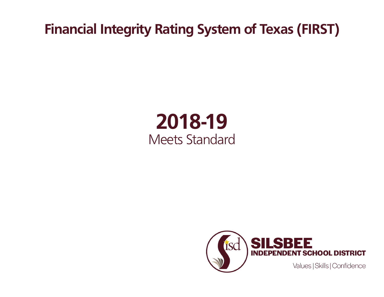**Financial Integrity Rating System of Texas (FIRST)**

## **2018-19** Meets Standard

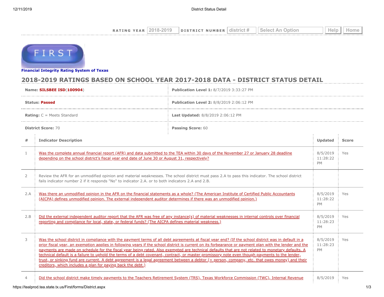| $\triangle$ R<br><b>VE</b><br>$N$ G<br>$\mathbf{r}$ | $-201$ <sup><math>\circ</math></sup><br>$\cdots$ | <b>NUMBER</b><br>DISTRICT | dıs<br>rici<br>× | Select | Эħ. |
|-----------------------------------------------------|--------------------------------------------------|---------------------------|------------------|--------|-----|
|                                                     |                                                  |                           |                  |        |     |



**[Financial Integrity Rating Syste](https://tealprod.tea.state.tx.us/First/forms/Main.aspx)m of Texas**

## **2018-2019 RATINGS BASED ON SCHOOL YEAR 2017-2018 DATA - DISTRICT STATUS DETAIL**

|                                                                          | Name: SILSBEE ISD(100904)<br>Publication Level 1: 8/7/2019 3:33:27 PM                                                                                                                                                                                                                                                                                                                                                                                                                                                                                                                                                                                                                                                                                                                                                                 |                                                 |                                   |              |  |
|--------------------------------------------------------------------------|---------------------------------------------------------------------------------------------------------------------------------------------------------------------------------------------------------------------------------------------------------------------------------------------------------------------------------------------------------------------------------------------------------------------------------------------------------------------------------------------------------------------------------------------------------------------------------------------------------------------------------------------------------------------------------------------------------------------------------------------------------------------------------------------------------------------------------------|-------------------------------------------------|-----------------------------------|--------------|--|
|                                                                          | <b>Status: Passed</b>                                                                                                                                                                                                                                                                                                                                                                                                                                                                                                                                                                                                                                                                                                                                                                                                                 | <b>Publication Level 2: 8/8/2019 2:06:12 PM</b> |                                   |              |  |
| <b>Rating:</b> $C = Meets$ Standard<br>Last Updated: 8/8/2019 2:06:12 PM |                                                                                                                                                                                                                                                                                                                                                                                                                                                                                                                                                                                                                                                                                                                                                                                                                                       |                                                 |                                   |              |  |
|                                                                          | <b>District Score: 70</b><br>Passing Score: 60                                                                                                                                                                                                                                                                                                                                                                                                                                                                                                                                                                                                                                                                                                                                                                                        |                                                 |                                   |              |  |
| #                                                                        | <b>Indicator Description</b>                                                                                                                                                                                                                                                                                                                                                                                                                                                                                                                                                                                                                                                                                                                                                                                                          |                                                 | Updated                           | <b>Score</b> |  |
| $\mathbf{1}$                                                             | Was the complete annual financial report (AFR) and data submitted to the TEA within 30 days of the November 27 or January 28 deadline<br>depending on the school district's fiscal year end date of June 30 or August 31, respectively?                                                                                                                                                                                                                                                                                                                                                                                                                                                                                                                                                                                               |                                                 | 8/5/2019<br>11:28:22<br><b>PM</b> | Yes          |  |
| 2                                                                        | Review the AFR for an unmodified opinion and material weaknesses. The school district must pass 2.A to pass this indicator. The school district<br>fails indicator number 2 if it responds "No" to indicator 2.A. or to both indicators 2.A and 2.B.                                                                                                                                                                                                                                                                                                                                                                                                                                                                                                                                                                                  |                                                 |                                   |              |  |
| 2.A                                                                      | Was there an unmodified opinion in the AFR on the financial statements as a whole? (The American Institute of Certified Public Accountants<br>(AICPA) defines unmodified opinion. The external independent auditor determines if there was an unmodified opinion.)                                                                                                                                                                                                                                                                                                                                                                                                                                                                                                                                                                    |                                                 | 8/5/2019<br>11:28:22<br>PM        | Yes          |  |
| 2.B                                                                      | Did the external independent auditor report that the AFR was free of any instance(s) of material weaknesses in internal controls over financial<br>reporting and compliance for local, state, or federal funds? (The AICPA defines material weakness.)                                                                                                                                                                                                                                                                                                                                                                                                                                                                                                                                                                                |                                                 | 8/5/2019<br>11:28:23<br><b>PM</b> | Yes          |  |
| 3                                                                        | Was the school district in compliance with the payment terms of all debt agreements at fiscal year end? (If the school district was in default in a<br>prior fiscal year, an exemption applies in following years if the school district is current on its forbearance or payment plan with the lender and the<br>payments are made on schedule for the fiscal year being rated. Also exempted are technical defaults that are not related to monetary defaults. A<br>technical default is a failure to uphold the terms of a debt covenant, contract, or master promissory note even though payments to the lender,<br>trust, or sinking fund are current. A debt agreement is a legal agreement between a debtor (= person, company, etc. that owes money) and their<br>creditors, which includes a plan for paying back the debt.) |                                                 | 8/5/2019<br>11:28:23<br><b>PM</b> | Yes          |  |
| 4                                                                        | Did the school district make timely payments to the Teachers Retirement System (TRS), Texas Workforce Commission (TWC), Internal Revenue                                                                                                                                                                                                                                                                                                                                                                                                                                                                                                                                                                                                                                                                                              |                                                 | 8/5/2019                          | Yes          |  |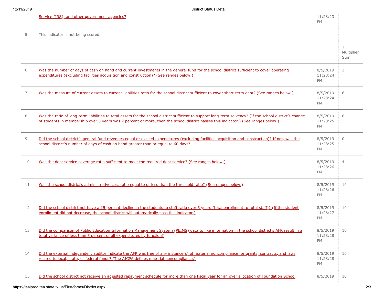|    | Service (IRS), and other government agencies?                                                                                                                                                                                                                                                   | 11:28:23<br><b>PM</b>             |                                   |
|----|-------------------------------------------------------------------------------------------------------------------------------------------------------------------------------------------------------------------------------------------------------------------------------------------------|-----------------------------------|-----------------------------------|
| 5  | This indicator is not being scored.                                                                                                                                                                                                                                                             |                                   |                                   |
|    |                                                                                                                                                                                                                                                                                                 |                                   | $\mathbf{1}$<br>Multiplier<br>Sum |
| 6  | Was the number of days of cash on hand and current investments in the general fund for the school district sufficient to cover operating<br>expenditures (excluding facilities acquisition and construction)? (See ranges below.)                                                               | 8/5/2019<br>11:28:24<br>PM        | 2                                 |
| 7  | Was the measure of current assets to current liabilities ratio for the school district sufficient to cover short-term debt? (See ranges below.)                                                                                                                                                 | 8/5/2019<br>11:28:24<br><b>PM</b> | 6                                 |
| 8  | Was the ratio of long-term liabilities to total assets for the school district sufficient to support long-term solvency? (If the school district's change<br>of students in membership over 5 years was 7 percent or more, then the school district passes this indicator.) (See ranges below.) | 8/5/2019<br>11:28:25<br>PM        | 8                                 |
| 9  | Did the school district's general fund revenues equal or exceed expenditures (excluding facilities acquisition and construction)? If not, was the<br>school district's number of days of cash on hand greater than or equal to 60 days?                                                         | 8/5/2019<br>11:28:25<br>PM        | $\Omega$                          |
| 10 | Was the debt service coverage ratio sufficient to meet the required debt service? (See ranges below.)                                                                                                                                                                                           | 8/5/2019<br>11:28:26<br>PM        | $\overline{4}$                    |
| 11 | Was the school district's administrative cost ratio equal to or less than the threshold ratio? (See ranges below.)                                                                                                                                                                              | 8/5/2019<br>11:28:26<br><b>PM</b> | 10                                |
| 12 | Did the school district not have a 15 percent decline in the students to staff ratio over 3 years (total enrollment to total staff)? (If the student<br>enrollment did not decrease, the school district will automatically pass this indicator.)                                               | 8/5/2019<br>11:28:27<br>PM        | 10                                |
| 13 | Did the comparison of Public Education Information Management System (PEIMS) data to like information in the school district's AFR result in a<br>total variance of less than 3 percent of all expenditures by function?                                                                        | 8/5/2019<br>11:28:28<br>PM        | 10                                |
| 14 | Did the external independent auditor indicate the AFR was free of any instance(s) of material noncompliance for grants, contracts, and laws<br>related to local, state, or federal funds? (The AICPA defines material noncompliance.)                                                           | 8/5/2019<br>11:28:28<br>PM        | 10                                |
| 15 | Did the school district not receive an adjusted repayment schedule for more than one fiscal year for an over allocation of Foundation School                                                                                                                                                    | 8/5/2019                          | 10                                |